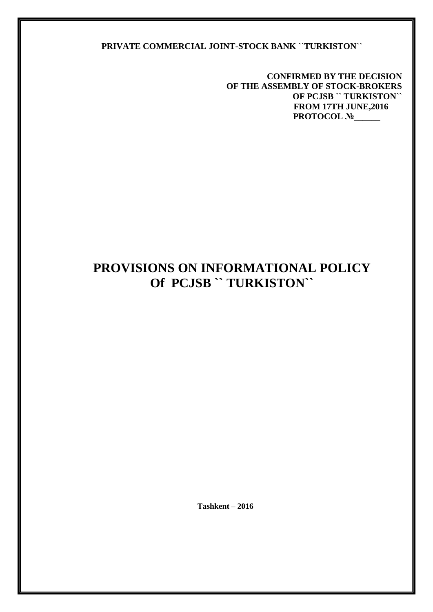#### **PRIVATE COMMERCIAL JOINT-STOCK BANK ``TURKISTON``**

 **CONFIRMED BY THE DECISION OF THE ASSEMBLY OF STOCK-BROKERS OF PCJSB `` TURKISTON`` FROM 17TH JUNE,2016 PROTOCOL №\_\_\_\_\_** 

# **PROVISIONS ON INFORMATIONAL POLICY Of PCJSB `` TURKISTON``**

 **Тashkent – 2016**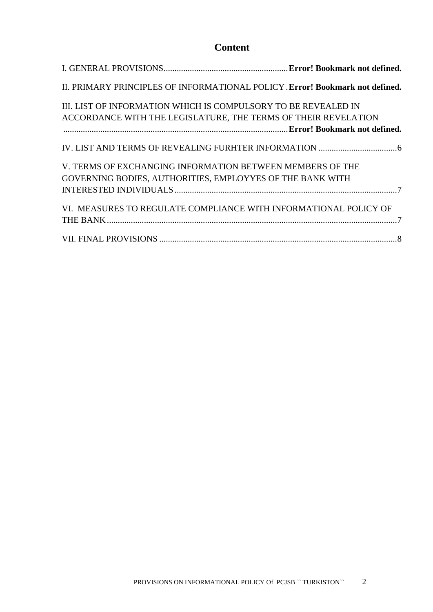## **Content**

| II. PRIMARY PRINCIPLES OF INFORMATIONAL POLICY. Error! Bookmark not defined.                                                     |  |
|----------------------------------------------------------------------------------------------------------------------------------|--|
| III. LIST OF INFORMATION WHICH IS COMPULSORY TO BE REVEALED IN<br>ACCORDANCE WITH THE LEGISLATURE, THE TERMS OF THEIR REVELATION |  |
|                                                                                                                                  |  |
|                                                                                                                                  |  |
| V. TERMS OF EXCHANGING INFORMATION BETWEEN MEMBERS OF THE                                                                        |  |
| GOVERNING BODIES, AUTHORITIES, EMPLOYYES OF THE BANK WITH                                                                        |  |
|                                                                                                                                  |  |
| VI. MEASURES TO REGULATE COMPLIANCE WITH INFORMATIONAL POLICY OF                                                                 |  |
|                                                                                                                                  |  |
|                                                                                                                                  |  |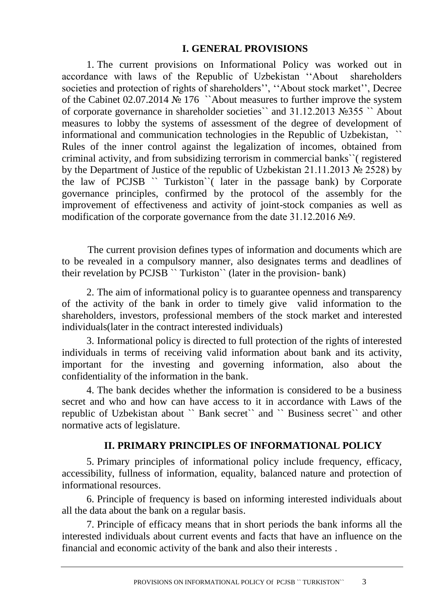#### **I. GENERAL PROVISIONS**

1. The current provisions on Informational Policy was worked out in accordance with laws of the Republic of Uzbekistan ''About shareholders societies and protection of rights of shareholders'', "About stock market", Decree of the Cabinet 02.07.2014 № 176 ``About measures to further improve the system of corporate governance in shareholder societies`` and 31.12.2013 №355 `` About measures to lobby the systems of assessment of the degree of development of informational and communication technologies in the Republic of Uzbekistan, `` Rules of the inner control against the legalization of incomes, obtained from criminal activity, and from subsidizing terrorism in commercial banks``( registered by the Department of Justice of the republic of Uzbekistan 21.11.2013 № 2528) by the law of PCJSB `` Turkiston``( later in the passage bank) by Corporate governance principles, confirmed by the protocol of the assembly for the improvement of effectiveness and activity of joint-stock companies as well as modification of the corporate governance from the date 31.12.2016 №9.

The current provision defines types of information and documents which are to be revealed in a compulsory manner, also designates terms and deadlines of their revelation by PCJSB `` Turkiston`` (later in the provision- bank)

2. The aim of informational policy is to guarantee openness and transparency of the activity of the bank in order to timely give valid information to the shareholders, investors, professional members of the stock market and interested individuals(later in the contract interested individuals)

3. Informational policy is directed to full protection of the rights of interested individuals in terms of receiving valid information about bank and its activity, important for the investing and governing information, also about the confidentiality of the information in the bank.

4. The bank decides whether the information is considered to be a business secret and who and how can have access to it in accordance with Laws of the republic of Uzbekistan about `` Bank secret`` and `` Business secret`` and other normative acts of legislature.

### **II. PRIMARY PRINCIPLES OF INFORMATIONAL POLICY**

5. Primary principles of informational policy include frequency, efficacy, accessibility, fullness of information, equality, balanced nature and protection of informational resources.

6. Principle of frequency is based on informing interested individuals about all the data about the bank on a regular basis.

7. Principle of efficacy means that in short periods the bank informs all the interested individuals about current events and facts that have an influence on the financial and economic activity of the bank and also their interests .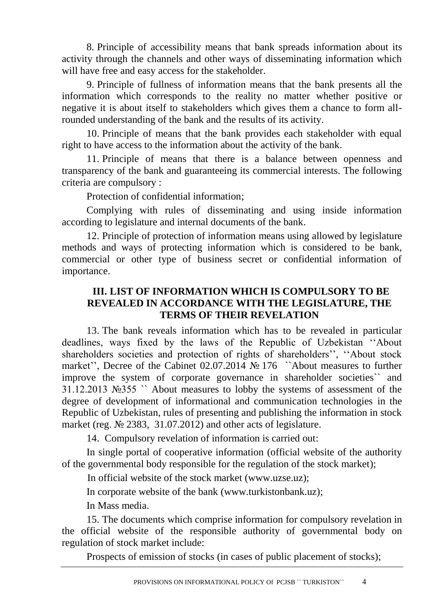8. Principle of accessibility means that bank spreads information about its activity through the channels and other ways of disseminating information which will have free and easy access for the stakeholder.

9. Principle of fullness of information means that the bank presents all the information which corresponds to the reality no matter whether positive or negative it is about itself to stakeholders which gives them a chance to form allrounded understanding of the bank and the results of its activity.

10. Principle of means that the bank provides each stakeholder with equal right to have access to the information about the activity of the bank.

11. Principle of means that there is a balance between openness and transparency of the bank and guaranteeing its commercial interests. The following criteria are compulsory :

Protection of confidential information;

Complying with rules of disseminating and using inside information according to legislature and internal documents of the bank.

12. Principle of protection of information means using allowed by legislature methods and ways of protecting information which is considered to be bank, commercial or other type of business secret or confidential information of importance.

## **III. LIST OF INFORMATION WHICH IS COMPULSORY TO BE REVEALED IN ACCORDANCE WITH THE LEGISLATURE, THE TERMS OF THEIR REVELATION**

13. The bank reveals information which has to be revealed in particular deadlines, ways fixed by the laws of the Republic of Uzbekistan ''About shareholders societies and protection of rights of shareholders'', ''About stock market'', Decree of the Cabinet 02.07.2014 № 176 ``About measures to further improve the system of corporate governance in shareholder societies`` and 31.12.2013 №355 `` About measures to lobby the systems of assessment of the degree of development of informational and communication technologies in the Republic of Uzbekistan, rules of presenting and publishing the information in stock market (reg. № 2383, 31.07.2012) and other acts of legislature.

14. Compulsory revelation of information is carried out:

In single portal of cooperative information (official website of the authority of the governmental body responsible for the regulation of the stock market);

In official website of the stock market (www.uzse.uz);

In corporate website of the bank [\(www.turkistonbank.uz\)](http://www.turkistonbank.uz/);

In Mass media.

15. The documents which comprise information for compulsory revelation in the official website of the responsible authority of governmental body on regulation of stock market include:

Prospects of emission of stocks (in cases of public placement of stocks);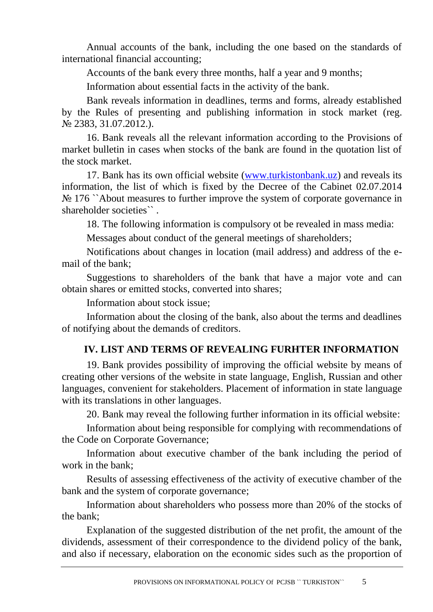Annual accounts of the bank, including the one based on the standards of international financial accounting;

Accounts of the bank every three months, half a year and 9 months;

Information about essential facts in the activity of the bank.

Bank reveals information in deadlines, terms and forms, already established by the Rules of presenting and publishing information in stock market (reg. № 2383, 31.07.2012.).

16. Bank reveals all the relevant information according to the Provisions of market bulletin in cases when stocks of the bank are found in the quotation list of the stock market.

17. Bank has its own official website [\(www.turkistonbank.uz\)](http://www.turkistonbank.uz/) and reveals its information, the list of which is fixed by the Decree of the Cabinet 02.07.2014 No 176 `About measures to further improve the system of corporate governance in shareholder societies".

18. The following information is compulsory ot be revealed in mass media:

Messages about conduct of the general meetings of shareholders;

Notifications about changes in location (mail address) and address of the email of the bank;

Suggestions to shareholders of the bank that have a major vote and can obtain shares or emitted stocks, converted into shares;

Information about stock issue;

Information about the closing of the bank, also about the terms and deadlines of notifying about the demands of creditors.

# **IV. LIST AND TERMS OF REVEALING FURHTER INFORMATION**

19. Bank provides possibility of improving the official website by means of creating other versions of the website in state language, English, Russian and other languages, convenient for stakeholders. Placement of information in state language with its translations in other languages.

20. Bank may reveal the following further information in its official website:

Information about being responsible for complying with recommendations of the Code on Corporate Governance;

Information about executive chamber of the bank including the period of work in the bank;

Results of assessing effectiveness of the activity of executive chamber of the bank and the system of corporate governance;

Information about shareholders who possess more than 20% of the stocks of the bank;

Explanation of the suggested distribution of the net profit, the amount of the dividends, assessment of their correspondence to the dividend policy of the bank, and also if necessary, elaboration on the economic sides such as the proportion of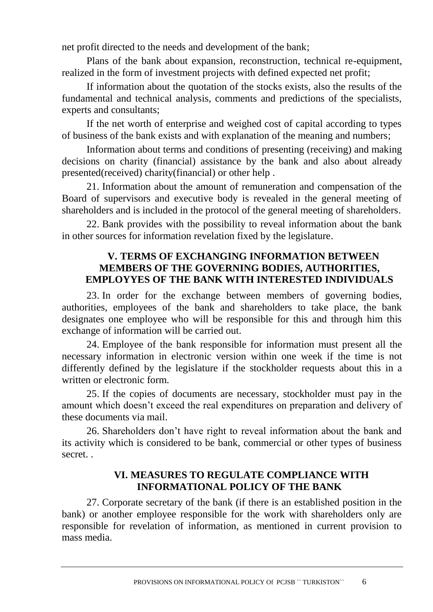net profit directed to the needs and development of the bank;

Plans of the bank about expansion, reconstruction, technical re-equipment, realized in the form of investment projects with defined expected net profit;

If information about the quotation of the stocks exists, also the results of the fundamental and technical analysis, comments and predictions of the specialists, experts and consultants;

If the net worth of enterprise and weighed cost of capital according to types of business of the bank exists and with explanation of the meaning and numbers;

Information about terms and conditions of presenting (receiving) and making decisions on charity (financial) assistance by the bank and also about already presented(received) charity(financial) or other help .

21. Information about the amount of remuneration and compensation of the Board of supervisors and executive body is revealed in the general meeting of shareholders and is included in the protocol of the general meeting of shareholders.

22. Bank provides with the possibility to reveal information about the bank in other sources for information revelation fixed by the legislature.

## **V. TERMS OF EXCHANGING INFORMATION BETWEEN MEMBERS OF THE GOVERNING BODIES, AUTHORITIES, EMPLOYYES OF THE BANK WITH INTERESTED INDIVIDUALS**

23. In order for the exchange between members of governing bodies, authorities, employees of the bank and shareholders to take place, the bank designates one employee who will be responsible for this and through him this exchange of information will be carried out.

24. Employee of the bank responsible for information must present all the necessary information in electronic version within one week if the time is not differently defined by the legislature if the stockholder requests about this in a written or electronic form.

25. If the copies of documents are necessary, stockholder must pay in the amount which doesn't exceed the real expenditures on preparation and delivery of these documents via mail.

26. Shareholders don't have right to reveal information about the bank and its activity which is considered to be bank, commercial or other types of business secret. .

### **VI. MEASURES TO REGULATE COMPLIANCE WITH INFORMATIONAL POLICY OF THE BANK**

27. Corporate secretary of the bank (if there is an established position in the bank) or another employee responsible for the work with shareholders only are responsible for revelation of information, as mentioned in current provision to mass media.